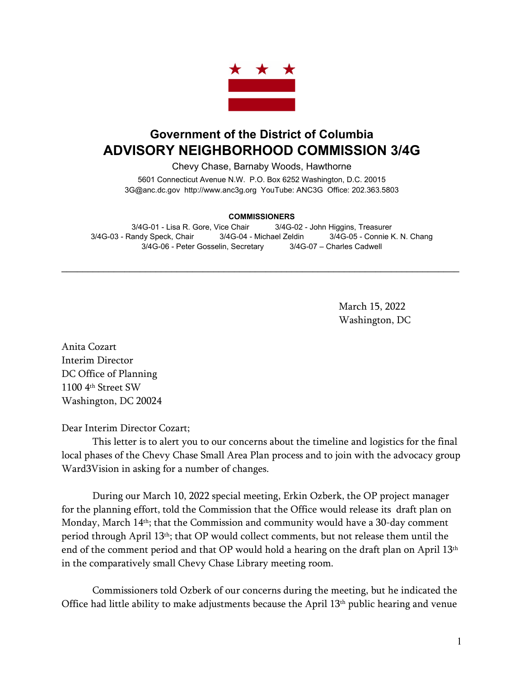

## **Government of the District of Columbia ADVISORY NEIGHBORHOOD COMMISSION 3/4G**

Chevy Chase, Barnaby Woods, Hawthorne

5601 Connecticut Avenue N.W. P.O. Box 6252 Washington, D.C. 20015 3G@anc.dc.gov [http://www.anc3g.org](http://www.anc3g.org/) YouTube: ANC3G Office: 202.363.5803

## **COMMISSIONERS**

3/4G-01 - Lisa R. Gore, Vice Chair 3/4G-02 - John Higgins, Treasurer 3/4G-03 - Randy Speck, Chair 3/4G-04 - Michael Zeldin 3/4G-05 - Connie K. N. Chang 3/4G-06 - Peter Gosselin, Secretary 3/4G-07 – Charles Cadwell

 $\mathcal{L}_\text{max}$  and  $\mathcal{L}_\text{max}$  and  $\mathcal{L}_\text{max}$  and  $\mathcal{L}_\text{max}$  and  $\mathcal{L}_\text{max}$  and  $\mathcal{L}_\text{max}$ 

March 15, 2022 Washington, DC

Anita Cozart Interim Director DC Office of Planning 1100 4th Street SW Washington, DC 20024

Dear Interim Director Cozart;

This letter is to alert you to our concerns about the timeline and logistics for the final local phases of the Chevy Chase Small Area Plan process and to join with the advocacy group Ward3Vision in asking for a number of changes.

During our March 10, 2022 special meeting, Erkin Ozberk, the OP project manager for the planning effort, told the Commission that the Office would release its draft plan on Monday, March 14<sup>th</sup>; that the Commission and community would have a 30-day comment period through April 13<sup>th</sup>; that OP would collect comments, but not release them until the end of the comment period and that OP would hold a hearing on the draft plan on April 13<sup>th</sup> in the comparatively small Chevy Chase Library meeting room.

Commissioners told Ozberk of our concerns during the meeting, but he indicated the Office had little ability to make adjustments because the April 13th public hearing and venue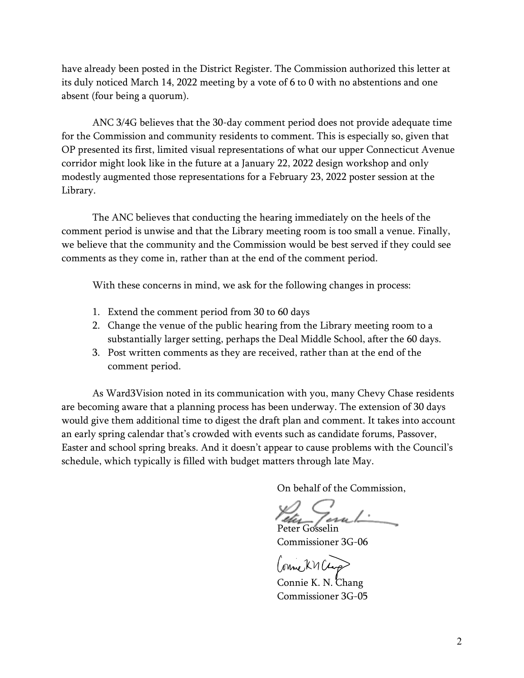have already been posted in the District Register. The Commission authorized this letter at its duly noticed March 14, 2022 meeting by a vote of 6 to 0 with no abstentions and one absent (four being a quorum).

ANC 3/4G believes that the 30-day comment period does not provide adequate time for the Commission and community residents to comment. This is especially so, given that OP presented its first, limited visual representations of what our upper Connecticut Avenue corridor might look like in the future at a January 22, 2022 design workshop and only modestly augmented those representations for a February 23, 2022 poster session at the Library.

The ANC believes that conducting the hearing immediately on the heels of the comment period is unwise and that the Library meeting room is too small a venue. Finally, we believe that the community and the Commission would be best served if they could see comments as they come in, rather than at the end of the comment period.

With these concerns in mind, we ask for the following changes in process:

- 1. Extend the comment period from 30 to 60 days
- 2. Change the venue of the public hearing from the Library meeting room to a substantially larger setting, perhaps the Deal Middle School, after the 60 days.
- 3. Post written comments as they are received, rather than at the end of the comment period.

 As Ward3Vision noted in its communication with you, many Chevy Chase residents are becoming aware that a planning process has been underway. The extension of 30 days would give them additional time to digest the draft plan and comment. It takes into account an early spring calendar that's crowded with events such as candidate forums, Passover, Easter and school spring breaks. And it doesn't appear to cause problems with the Council's schedule, which typically is filled with budget matters through late May.

On behalf of the Commission,

Peter Gosselin

Commissioner 3G-06

Conne KM Clarp

 Connie K. N. Chang Commissioner 3G-05